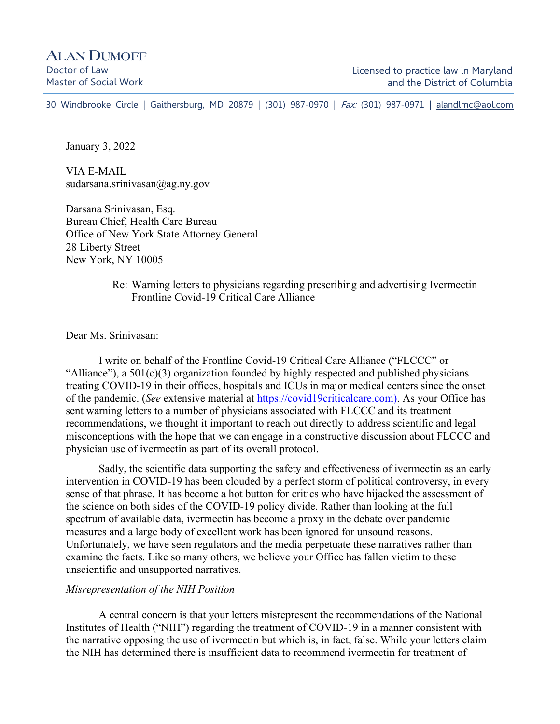30 Windbrooke Circle | Gaithersburg, MD 20879 | (301) 987-0970 | Fax: (301) 987-0971 | [alandlmc@aol.com](mailto:alandlmc@aol.com)

January 3, 2022

VIA E-MAIL sudarsana.srinivasan@ag.ny.gov

Darsana Srinivasan, Esq. Bureau Chief, Health Care Bureau Office of New York State Attorney General 28 Liberty Street New York, NY 10005

#### Re: Warning letters to physicians regarding prescribing and advertising Ivermectin Frontline Covid-19 Critical Care Alliance

Dear Ms. Srinivasan:

I write on behalf of the Frontline Covid-19 Critical Care Alliance ("FLCCC" or "Alliance"), a  $501(c)(3)$  organization founded by highly respected and published physicians treating COVID-19 in their offices, hospitals and ICUs in major medical centers since the onset of the pandemic. (*See* extensive material at https://covid19criticalcare.com). As your Office has sent warning letters to a number of physicians associated with FLCCC and its treatment recommendations, we thought it important to reach out directly to address scientific and legal misconceptions with the hope that we can engage in a constructive discussion about FLCCC and physician use of ivermectin as part of its overall protocol.

Sadly, the scientific data supporting the safety and effectiveness of ivermectin as an early intervention in COVID-19 has been clouded by a perfect storm of political controversy, in every sense of that phrase. It has become a hot button for critics who have hijacked the assessment of the science on both sides of the COVID-19 policy divide. Rather than looking at the full spectrum of available data, ivermectin has become a proxy in the debate over pandemic measures and a large body of excellent work has been ignored for unsound reasons. Unfortunately, we have seen regulators and the media perpetuate these narratives rather than examine the facts. Like so many others, we believe your Office has fallen victim to these unscientific and unsupported narratives.

#### *Misrepresentation of the NIH Position*

A central concern is that your letters misrepresent the recommendations of the National Institutes of Health ("NIH") regarding the treatment of COVID-19 in a manner consistent with the narrative opposing the use of ivermectin but which is, in fact, false. While your letters claim the NIH has determined there is insufficient data to recommend ivermectin for treatment of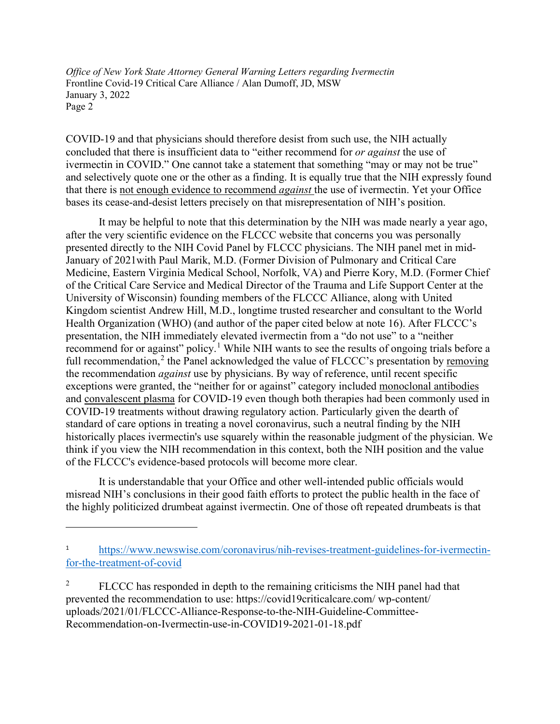COVID-19 and that physicians should therefore desist from such use, the NIH actually concluded that there is insufficient data to "either recommend for *or against* the use of ivermectin in COVID." One cannot take a statement that something "may or may not be true" and selectively quote one or the other as a finding. It is equally true that the NIH expressly found that there is not enough evidence to recommend *against* the use of ivermectin. Yet your Office bases its cease-and-desist letters precisely on that misrepresentation of NIH's position.

It may be helpful to note that this determination by the NIH was made nearly a year ago, after the very scientific evidence on the FLCCC website that concerns you was personally presented directly to the NIH Covid Panel by FLCCC physicians. The NIH panel met in mid-January of 2021with Paul Marik, M.D. (Former Division of Pulmonary and Critical Care Medicine, Eastern Virginia Medical School, Norfolk, VA) and Pierre Kory, M.D. (Former Chief of the Critical Care Service and Medical Director of the Trauma and Life Support Center at the University of Wisconsin) founding members of the FLCCC Alliance, along with United Kingdom scientist Andrew Hill, M.D., longtime trusted researcher and consultant to the World Health Organization (WHO) (and author of the paper cited below at note 16). After FLCCC's presentation, the NIH immediately elevated ivermectin from a "do not use" to a "neither recommend for or against" policy.<sup>[1](#page-1-0)</sup> While NIH wants to see the results of ongoing trials before a full recommendation,<sup>[2](#page-1-1)</sup> the Panel acknowledged the value of FLCCC's presentation by removing the recommendation *against* use by physicians. By way of reference, until recent specific exceptions were granted, the "neither for or against" category included monoclonal antibodies and convalescent plasma for COVID-19 even though both therapies had been commonly used in COVID-19 treatments without drawing regulatory action. Particularly given the dearth of standard of care options in treating a novel coronavirus, such a neutral finding by the NIH historically places ivermectin's use squarely within the reasonable judgment of the physician. We think if you view the NIH recommendation in this context, both the NIH position and the value of the FLCCC's evidence-based protocols will become more clear.

It is understandable that your Office and other well-intended public officials would misread NIH's conclusions in their good faith efforts to protect the public health in the face of the highly politicized drumbeat against ivermectin. One of those oft repeated drumbeats is that

<span id="page-1-0"></span><sup>1</sup> [https://www.newswise.com/coronavirus/nih-revises-treatment-guidelines-for-ivermectin](https://www.newswise.com/coronavirus/nih-revises-treatment-guidelines-for-ivermectin-for-the-treatment-of-covid)[for-the-treatment-of-covid](https://www.newswise.com/coronavirus/nih-revises-treatment-guidelines-for-ivermectin-for-the-treatment-of-covid)

<span id="page-1-1"></span><sup>&</sup>lt;sup>2</sup> FLCCC has responded in depth to the remaining criticisms the NIH panel had that prevented the recommendation to use: https://covid19criticalcare.com/ wp-content/ uploads/2021/01/FLCCC-Alliance-Response-to-the-NIH-Guideline-Committee-Recommendation-on-Ivermectin-use-in-COVID19-2021-01-18.pdf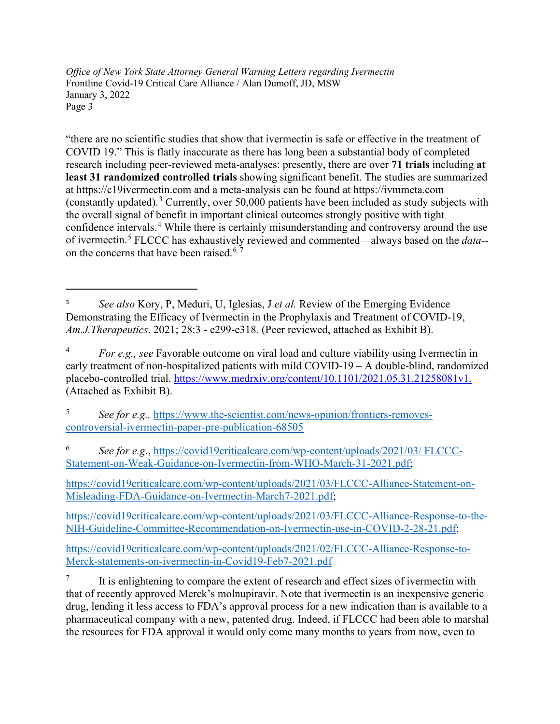"there are no scientific studies that show that ivermectin is safe or effective in the treatment of COVID 19." This is flatly inaccurate as there has long been a substantial body of completed research including peer-reviewed meta-analyses: presently, there are over **71 trials** including **at least 31 randomized controlled trials** showing significant benefit. The studies are summarized at https://c19ivermectin.com and a meta-analysis can be found at https://ivmmeta.com (constantly updated).<sup>[3](#page-2-0)</sup> Currently, over 50,000 patients have been included as study subjects with the overall signal of benefit in important clinical outcomes strongly positive with tight confidence intervals.<sup>[4](#page-2-1)</sup> While there is certainly misunderstanding and controversy around the use of ivermectin.[5](#page-2-2) FLCCC has exhaustively reviewed and commented—always based on the *data--* on the concerns that have been raised.<sup>[6](#page-2-3)[7](#page-2-4)</sup>

<span id="page-2-2"></span><sup>5</sup> *See for e.g.,* [https://www.the-scientist.com/news-opinion/frontiers-removes](https://www.the-scientist.com/news-opinion/frontiers-removes-%20controversial-ivermectin-paper-pre-publication-68505)[controversial-ivermectin-paper-pre-publication-68505](https://www.the-scientist.com/news-opinion/frontiers-removes-%20controversial-ivermectin-paper-pre-publication-68505)

<span id="page-2-3"></span><sup>6</sup> *See for e.g*., [https://covid19criticalcare.com/wp-content/uploads/2021/03/ FLCCC-](https://covid19criticalcare.com/wp-content/uploads/2021/03/%20FLCCC-Statement-on-Weak-Guidance-on-Ivermectin-from-WHO-March-31-2021.pdf)[Statement-on-Weak-Guidance-on-Ivermectin-from-WHO-March-31-2021.pdf;](https://covid19criticalcare.com/wp-content/uploads/2021/03/%20FLCCC-Statement-on-Weak-Guidance-on-Ivermectin-from-WHO-March-31-2021.pdf)

[https://covid19criticalcare.com/wp-content/uploads/2021/03/FLCCC-Alliance-Statement-on-](https://covid19criticalcare.com/wp-content/uploads/2021/03/FLCCC-Alliance-Statement-on-Misleading-FDA-Guidance-on-Ivermectin-March7-2021.pdf)[Misleading-FDA-Guidance-on-Ivermectin-March7-2021.pdf;](https://covid19criticalcare.com/wp-content/uploads/2021/03/FLCCC-Alliance-Statement-on-Misleading-FDA-Guidance-on-Ivermectin-March7-2021.pdf)

[https://covid19criticalcare.com/wp-content/uploads/2021/03/FLCCC-Alliance-Response-to-the-](https://covid19criticalcare.com/wp-content/uploads/2021/03/FLCCC-Alliance-Response-to-the-NIH-Guideline-Committee-Recommendation-on-Ivermectin-use-in-COVID-2-28-21.pdf)[NIH-Guideline-Committee-Recommendation-on-Ivermectin-use-in-COVID-2-28-21.pdf;](https://covid19criticalcare.com/wp-content/uploads/2021/03/FLCCC-Alliance-Response-to-the-NIH-Guideline-Committee-Recommendation-on-Ivermectin-use-in-COVID-2-28-21.pdf)

[https://covid19criticalcare.com/wp-content/uploads/2021/02/FLCCC-Alliance-Response-to-](https://covid19criticalcare.com/wp-content/uploads/2021/02/FLCCC-Alliance-Response-to-Merck-statements-on-ivermectin-in-Covid19-Feb7-2021.pdf)[Merck-statements-on-ivermectin-in-Covid19-Feb7-2021.pdf](https://covid19criticalcare.com/wp-content/uploads/2021/02/FLCCC-Alliance-Response-to-Merck-statements-on-ivermectin-in-Covid19-Feb7-2021.pdf)

<span id="page-2-4"></span> $\frac{7}{10}$  It is enlightening to compare the extent of research and effect sizes of ivermectin with that of recently approved Merck's molnupiravir. Note that ivermectin is an inexpensive generic drug, lending it less access to FDA's approval process for a new indication than is available to a pharmaceutical company with a new, patented drug. Indeed, if FLCCC had been able to marshal the resources for FDA approval it would only come many months to years from now, even to

<span id="page-2-0"></span><sup>3</sup> *See also* Kory, P, Meduri, U, Iglesias, J *et al.* Review of the Emerging Evidence Demonstrating the Efficacy of Ivermectin in the Prophylaxis and Treatment of COVID-19, *Am.J.Therapeutics*. 2021; 28:3 - e299-e318. (Peer reviewed, attached as Exhibit B).

<span id="page-2-1"></span><sup>4</sup> *For e.g., see* Favorable outcome on viral load and culture viability using Ivermectin in early treatment of non-hospitalized patients with mild COVID-19 – A double-blind, randomized placebo-controlled trial.<https://www.medrxiv.org/content/10.1101/2021.05.31.21258081v1.> (Attached as Exhibit B).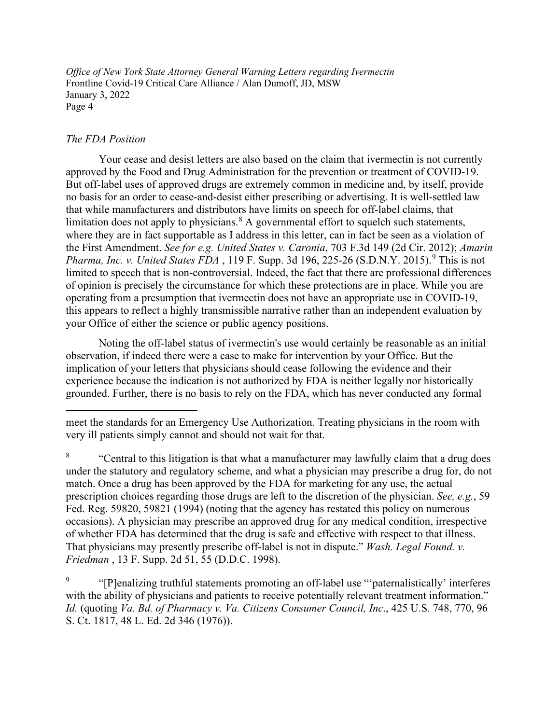## *The FDA Position*

Your cease and desist letters are also based on the claim that ivermectin is not currently approved by the Food and Drug Administration for the prevention or treatment of COVID-19. But off-label uses of approved drugs are extremely common in medicine and, by itself, provide no basis for an order to cease-and-desist either prescribing or advertising. It is well-settled law that while manufacturers and distributors have limits on speech for off-label claims, that limitation does not apply to physicians. $8 \text{ A}$  $8 \text{ A}$  governmental effort to squelch such statements, where they are in fact supportable as I address in this letter, can in fact be seen as a violation of the First Amendment. *See for e.g. United States v. Caronia*, 703 F.3d 149 (2d Cir. 2012); *Amarin Pharma, Inc. v. United States FDA*, 11[9](#page-3-1) F. Supp. 3d 196, 225-26 (S.D.N.Y. 2015).<sup>9</sup> This is not limited to speech that is non-controversial. Indeed, the fact that there are professional differences of opinion is precisely the circumstance for which these protections are in place. While you are operating from a presumption that ivermectin does not have an appropriate use in COVID-19, this appears to reflect a highly transmissible narrative rather than an independent evaluation by your Office of either the science or public agency positions.

Noting the off-label status of ivermectin's use would certainly be reasonable as an initial observation, if indeed there were a case to make for intervention by your Office. But the implication of your letters that physicians should cease following the evidence and their experience because the indication is not authorized by FDA is neither legally nor historically grounded. Further, there is no basis to rely on the FDA, which has never conducted any formal

<span id="page-3-0"></span><sup>8</sup> "Central to this litigation is that what a manufacturer may lawfully claim that a drug does under the statutory and regulatory scheme, and what a physician may prescribe a drug for, do not match. Once a drug has been approved by the FDA for marketing for any use, the actual prescription choices regarding those drugs are left to the discretion of the physician. *See, e.g.*, 59 Fed. Reg. 59820, 59821 (1994) (noting that the agency has restated this policy on numerous occasions). A physician may prescribe an approved drug for any medical condition, irrespective of whether FDA has determined that the drug is safe and effective with respect to that illness. That physicians may presently prescribe off-label is not in dispute." *Wash. Legal Found. v. Friedman* , 13 F. Supp. 2d 51, 55 (D.D.C. 1998).

<span id="page-3-1"></span>"[P]enalizing truthful statements promoting an off-label use ""paternalistically' interferes" with the ability of physicians and patients to receive potentially relevant treatment information." *Id.* (quoting *Va. Bd. of Pharmacy v. Va. Citizens Consumer Council, Inc*., 425 U.S. 748, 770, 96 S. Ct. 1817, 48 L. Ed. 2d 346 (1976)).

meet the standards for an Emergency Use Authorization. Treating physicians in the room with very ill patients simply cannot and should not wait for that.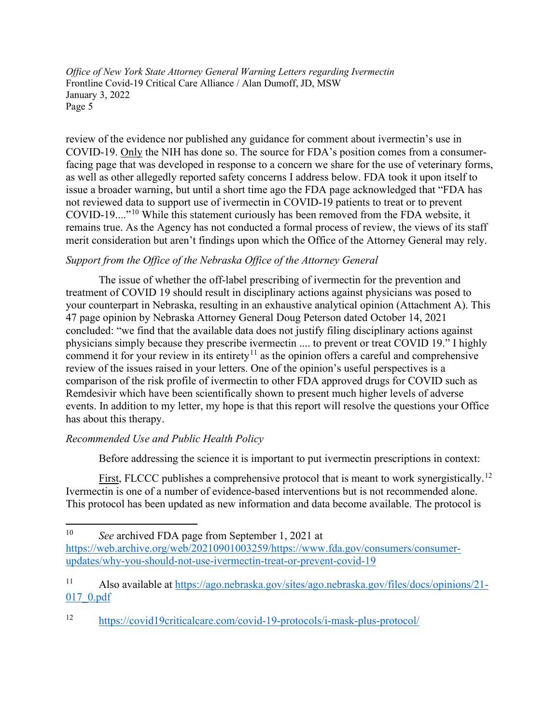review of the evidence nor published any guidance for comment about ivermectin's use in COVID-19. Only the NIH has done so. The source for FDA's position comes from a consumerfacing page that was developed in response to a concern we share for the use of veterinary forms, as well as other allegedly reported safety concerns I address below. FDA took it upon itself to issue a broader warning, but until a short time ago the FDA page acknowledged that "FDA has not reviewed data to support use of ivermectin in COVID-19 patients to treat or to prevent COVID-19...."[10](#page-4-0) While this statement curiously has been removed from the FDA website, it remains true. As the Agency has not conducted a formal process of review, the views of its staff merit consideration but aren't findings upon which the Office of the Attorney General may rely.

# *Support from the Office of the Nebraska Office of the Attorney General*

The issue of whether the off-label prescribing of ivermectin for the prevention and treatment of COVID 19 should result in disciplinary actions against physicians was posed to your counterpart in Nebraska, resulting in an exhaustive analytical opinion (Attachment A). This 47 page opinion by Nebraska Attorney General Doug Peterson dated October 14, 2021 concluded: "we find that the available data does not justify filing disciplinary actions against physicians simply because they prescribe ivermectin .... to prevent or treat COVID 19." I highly commend it for your review in its entirety<sup>[11](#page-4-1)</sup> as the opinion offers a careful and comprehensive review of the issues raised in your letters. One of the opinion's useful perspectives is a comparison of the risk profile of ivermectin to other FDA approved drugs for COVID such as Remdesivir which have been scientifically shown to present much higher levels of adverse events. In addition to my letter, my hope is that this report will resolve the questions your Office has about this therapy.

# *Recommended Use and Public Health Policy*

Before addressing the science it is important to put ivermectin prescriptions in context:

First, FLCCC publishes a comprehensive protocol that is meant to work synergistically.<sup>[12](#page-4-2)</sup> Ivermectin is one of a number of evidence-based interventions but is not recommended alone. This protocol has been updated as new information and data become available. The protocol is

<span id="page-4-0"></span><sup>10</sup> *See* archived FDA page from September 1, 2021 at [https://web.archive.org/web/20210901003259/https://www.fda.gov/consumers/consumer](https://web.archive.org/web/20210901003259/https:/www.fda.gov/consumers/consumer-updates/why-you-should-not-use-ivermectin-treat-or-prevent-covid-19)[updates/why-you-should-not-use-ivermectin-treat-or-prevent-covid-19](https://web.archive.org/web/20210901003259/https:/www.fda.gov/consumers/consumer-updates/why-you-should-not-use-ivermectin-treat-or-prevent-covid-19)

<span id="page-4-1"></span><sup>11</sup> Also available at [https://ago.nebraska.gov/sites/ago.nebraska.gov/files/docs/opinions/21-](https://ago.nebraska.gov/sites/ago.nebraska.gov/files/docs/opinions/21-017_0.pdf) [017\\_0.pdf](https://ago.nebraska.gov/sites/ago.nebraska.gov/files/docs/opinions/21-017_0.pdf)

<span id="page-4-2"></span><sup>12</sup> <https://covid19criticalcare.com/covid-19-protocols/i-mask-plus-protocol/>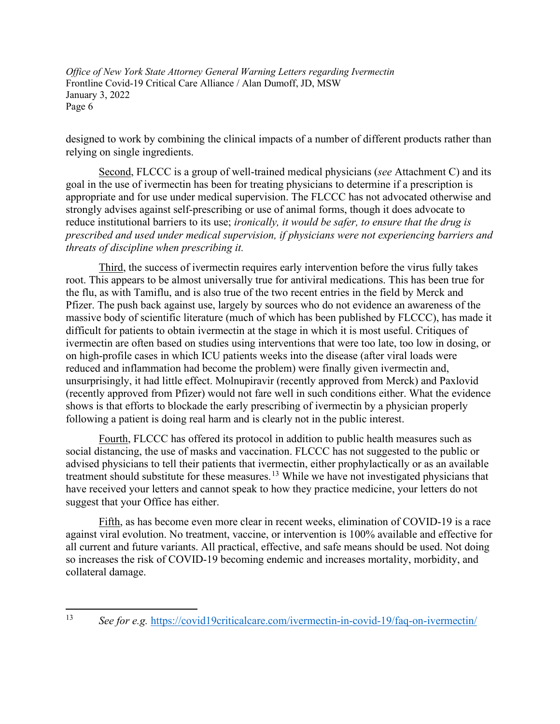designed to work by combining the clinical impacts of a number of different products rather than relying on single ingredients.

Second, FLCCC is a group of well-trained medical physicians (*see* Attachment C) and its goal in the use of ivermectin has been for treating physicians to determine if a prescription is appropriate and for use under medical supervision. The FLCCC has not advocated otherwise and strongly advises against self-prescribing or use of animal forms, though it does advocate to reduce institutional barriers to its use; *ironically, it would be safer, to ensure that the drug is prescribed and used under medical supervision, if physicians were not experiencing barriers and threats of discipline when prescribing it.* 

Third, the success of ivermectin requires early intervention before the virus fully takes root. This appears to be almost universally true for antiviral medications. This has been true for the flu, as with Tamiflu, and is also true of the two recent entries in the field by Merck and Pfizer. The push back against use, largely by sources who do not evidence an awareness of the massive body of scientific literature (much of which has been published by FLCCC), has made it difficult for patients to obtain ivermectin at the stage in which it is most useful. Critiques of ivermectin are often based on studies using interventions that were too late, too low in dosing, or on high-profile cases in which ICU patients weeks into the disease (after viral loads were reduced and inflammation had become the problem) were finally given ivermectin and, unsurprisingly, it had little effect. Molnupiravir (recently approved from Merck) and Paxlovid (recently approved from Pfizer) would not fare well in such conditions either. What the evidence shows is that efforts to blockade the early prescribing of ivermectin by a physician properly following a patient is doing real harm and is clearly not in the public interest.

Fourth, FLCCC has offered its protocol in addition to public health measures such as social distancing, the use of masks and vaccination. FLCCC has not suggested to the public or advised physicians to tell their patients that ivermectin, either prophylactically or as an available treatment should substitute for these measures.<sup>[13](#page-5-0)</sup> While we have not investigated physicians that have received your letters and cannot speak to how they practice medicine, your letters do not suggest that your Office has either.

Fifth, as has become even more clear in recent weeks, elimination of COVID-19 is a race against viral evolution. No treatment, vaccine, or intervention is 100% available and effective for all current and future variants. All practical, effective, and safe means should be used. Not doing so increases the risk of COVID-19 becoming endemic and increases mortality, morbidity, and collateral damage.

<span id="page-5-0"></span><sup>13</sup> *See for e.g.* <https://covid19criticalcare.com/ivermectin-in-covid-19/faq-on-ivermectin/>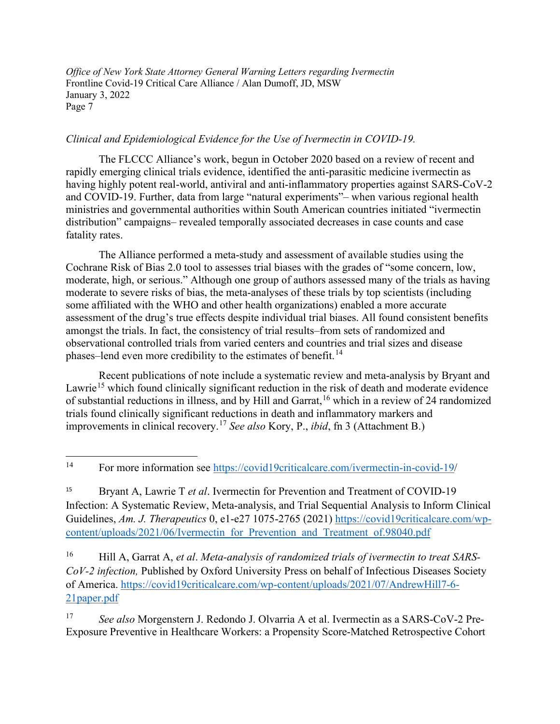## *Clinical and Epidemiological Evidence for the Use of Ivermectin in COVID-19.*

The FLCCC Alliance's work, begun in October 2020 based on a review of recent and rapidly emerging clinical trials evidence, identified the anti-parasitic medicine ivermectin as having highly potent real-world, antiviral and anti-inflammatory properties against SARS-CoV-2 and COVID-19. Further, data from large "natural experiments"– when various regional health ministries and governmental authorities within South American countries initiated "ivermectin distribution" campaigns– revealed temporally associated decreases in case counts and case fatality rates.

The Alliance performed a meta-study and assessment of available studies using the Cochrane Risk of Bias 2.0 tool to assesses trial biases with the grades of "some concern, low, moderate, high, or serious." Although one group of authors assessed many of the trials as having moderate to severe risks of bias, the meta-analyses of these trials by top scientists (including some affiliated with the WHO and other health organizations) enabled a more accurate assessment of the drug's true effects despite individual trial biases. All found consistent benefits amongst the trials. In fact, the consistency of trial results–from sets of randomized and observational controlled trials from varied centers and countries and trial sizes and disease phases–lend even more credibility to the estimates of benefit.<sup>[14](#page-6-0)</sup>

Recent publications of note include a systematic review and meta-analysis by Bryant and Lawrie<sup>[15](#page-6-1)</sup> which found clinically significant reduction in the risk of death and moderate evidence of substantial reductions in illness, and by Hill and Garrat,<sup>[16](#page-6-2)</sup> which in a review of 24 randomized trials found clinically significant reductions in death and inflammatory markers and improvements in clinical recovery.[17](#page-6-3) *See also* Kory, P., *ibid*, fn 3 (Attachment B.)

<span id="page-6-2"></span><sup>16</sup> Hill A, Garrat A, *et al*. *Meta-analysis of randomized trials of ivermectin to treat SARS-CoV-2 infection,* Published by Oxford University Press on behalf of Infectious Diseases Society of America. [https://covid19criticalcare.com/wp-content/uploads/2021/07/AndrewHill7-6-](https://covid19criticalcare.com/wp-content/uploads/2021/07/AndrewHill7-6-21paper.pdf) [21paper.pdf](https://covid19criticalcare.com/wp-content/uploads/2021/07/AndrewHill7-6-21paper.pdf)

<span id="page-6-3"></span><sup>17</sup> *See also* Morgenstern J. Redondo J. Olvarria A et al. Ivermectin as a SARS-CoV-2 Pre-Exposure Preventive in Healthcare Workers: a Propensity Score-Matched Retrospective Cohort

<span id="page-6-0"></span><sup>14</sup> For more information see [https://covid19criticalcare.com/ivermectin-in-covid-19/](https://covid19criticalcare.com/ivermectin-in-covid-19)

<span id="page-6-1"></span><sup>15</sup> Bryant A, Lawrie T *et al*. Ivermectin for Prevention and Treatment of COVID-19 Infection: A Systematic Review, Meta-analysis, and Trial Sequential Analysis to Inform Clinical Guidelines, *Am. J. Therapeutics* 0, e1-e27 1075-2765 (2021) [https://covid19criticalcare.com/wp](https://covid19criticalcare.com/wp-content/uploads/2021/06/Ivermectin_for_Prevention_and_Treatment_of.98040.pdf)[content/uploads/2021/06/Ivermectin\\_for\\_Prevention\\_and\\_Treatment\\_of.98040.pdf](https://covid19criticalcare.com/wp-content/uploads/2021/06/Ivermectin_for_Prevention_and_Treatment_of.98040.pdf)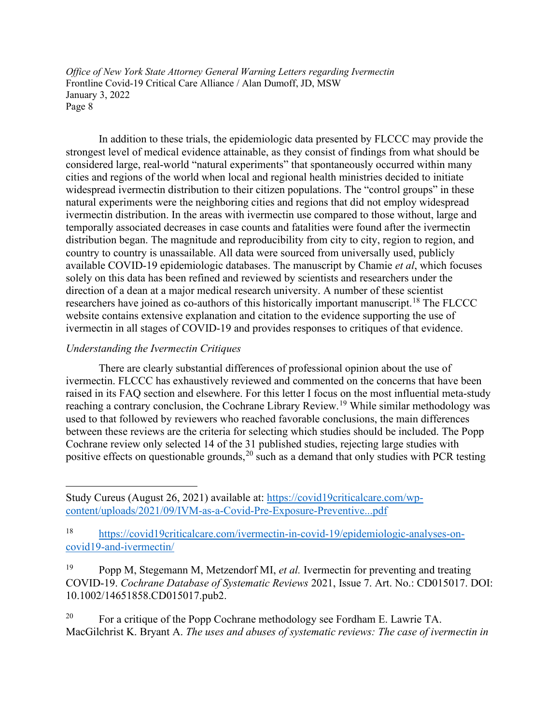In addition to these trials, the epidemiologic data presented by FLCCC may provide the strongest level of medical evidence attainable, as they consist of findings from what should be considered large, real-world "natural experiments" that spontaneously occurred within many cities and regions of the world when local and regional health ministries decided to initiate widespread ivermectin distribution to their citizen populations. The "control groups" in these natural experiments were the neighboring cities and regions that did not employ widespread ivermectin distribution. In the areas with ivermectin use compared to those without, large and temporally associated decreases in case counts and fatalities were found after the ivermectin distribution began. The magnitude and reproducibility from city to city, region to region, and country to country is unassailable. All data were sourced from universally used, publicly available COVID-19 epidemiologic databases. The manuscript by Chamie *et al*, which focuses solely on this data has been refined and reviewed by scientists and researchers under the direction of a dean at a major medical research university. A number of these scientist researchers have joined as co-authors of this historically important manuscript.<sup>[18](#page-7-0)</sup> The FLCCC website contains extensive explanation and citation to the evidence supporting the use of ivermectin in all stages of COVID-19 and provides responses to critiques of that evidence.

# *Understanding the Ivermectin Critiques*

There are clearly substantial differences of professional opinion about the use of ivermectin. FLCCC has exhaustively reviewed and commented on the concerns that have been raised in its FAQ section and elsewhere. For this letter I focus on the most influential meta-study reaching a contrary conclusion, the Cochrane Library Review.<sup>[19](#page-7-1)</sup> While similar methodology was used to that followed by reviewers who reached favorable conclusions, the main differences between these reviews are the criteria for selecting which studies should be included. The Popp Cochrane review only selected 14 of the 31 published studies, rejecting large studies with positive effects on questionable grounds,  $20$  such as a demand that only studies with PCR testing

<span id="page-7-2"></span><sup>20</sup> For a critique of the Popp Cochrane methodology see Fordham E. Lawrie TA. MacGilchrist K. Bryant A. *The uses and abuses of systematic reviews: The case of ivermectin in* 

Study Cureus (August 26, 2021) available at: [https://covid19criticalcare.com/wp](https://covid19criticalcare.com/wp-content/uploads/2021/09/IVM-as-a-Covid-Pre-Exposure-Preventive...pdf)[content/uploads/2021/09/IVM-as-a-Covid-Pre-Exposure-Preventive...pdf](https://covid19criticalcare.com/wp-content/uploads/2021/09/IVM-as-a-Covid-Pre-Exposure-Preventive...pdf)

<span id="page-7-0"></span><sup>18</sup> [https://covid19criticalcare.com/ivermectin-in-covid-19/epidemiologic-analyses-on](https://covid19criticalcare.com/ivermectin-in-covid-19/epidemiologic-analyses-on-covid19-and-ivermectin/)[covid19-and-ivermectin/](https://covid19criticalcare.com/ivermectin-in-covid-19/epidemiologic-analyses-on-covid19-and-ivermectin/)

<span id="page-7-1"></span><sup>19</sup> Popp M, Stegemann M, Metzendorf MI, *et al.* Ivermectin for preventing and treating COVID-19. *Cochrane Database of Systematic Reviews* 2021, Issue 7. Art. No.: CD015017. DOI: 10.1002/14651858.CD015017.pub2.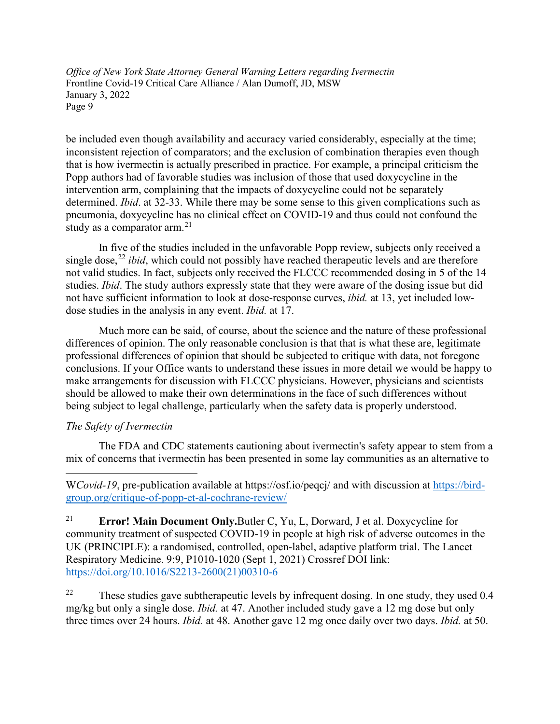be included even though availability and accuracy varied considerably, especially at the time; inconsistent rejection of comparators; and the exclusion of combination therapies even though that is how ivermectin is actually prescribed in practice. For example, a principal criticism the Popp authors had of favorable studies was inclusion of those that used doxycycline in the intervention arm, complaining that the impacts of doxycycline could not be separately determined. *Ibid*. at 32-33. While there may be some sense to this given complications such as pneumonia, doxycycline has no clinical effect on COVID-19 and thus could not confound the study as a comparator arm. $^{21}$  $^{21}$  $^{21}$ 

In five of the studies included in the unfavorable Popp review, subjects only received a single dose,<sup>[22](#page-8-1)</sup> *ibid*, which could not possibly have reached therapeutic levels and are therefore not valid studies. In fact, subjects only received the FLCCC recommended dosing in 5 of the 14 studies. *Ibid*. The study authors expressly state that they were aware of the dosing issue but did not have sufficient information to look at dose-response curves, *ibid.* at 13, yet included lowdose studies in the analysis in any event. *Ibid.* at 17.

Much more can be said, of course, about the science and the nature of these professional differences of opinion. The only reasonable conclusion is that that is what these are, legitimate professional differences of opinion that should be subjected to critique with data, not foregone conclusions. If your Office wants to understand these issues in more detail we would be happy to make arrangements for discussion with FLCCC physicians. However, physicians and scientists should be allowed to make their own determinations in the face of such differences without being subject to legal challenge, particularly when the safety data is properly understood.

# *The Safety of Ivermectin*

The FDA and CDC statements cautioning about ivermectin's safety appear to stem from a mix of concerns that ivermectin has been presented in some lay communities as an alternative to

<span id="page-8-1"></span><sup>22</sup> These studies gave subtherapeutic levels by infrequent dosing. In one study, they used 0.4 mg/kg but only a single dose. *Ibid.* at 47. Another included study gave a 12 mg dose but only three times over 24 hours. *Ibid.* at 48. Another gave 12 mg once daily over two days. *Ibid.* at 50.

W*Covid-19*, pre-publication available at https://osf.io/peqcj/ and with discussion at [https://bird](https://bird-group.org/critique-of-popp-et-al-cochrane-review/)[group.org/critique-of-popp-et-al-cochrane-review/](https://bird-group.org/critique-of-popp-et-al-cochrane-review/)

<span id="page-8-0"></span><sup>21</sup> **Error! Main Document Only.**Butler C, Yu, L, Dorward, J et al. Doxycycline for community treatment of suspected COVID-19 in people at high risk of adverse outcomes in the UK (PRINCIPLE): a randomised, controlled, open-label, adaptive platform trial. The Lancet Respiratory Medicine. 9:9, P1010-1020 (Sept 1, 2021) Crossref DOI link: [https://doi.org/10.1016/S2213-2600\(21\)00310-6](https://doi.org/10.1016/S2213-2600(21)00310-6)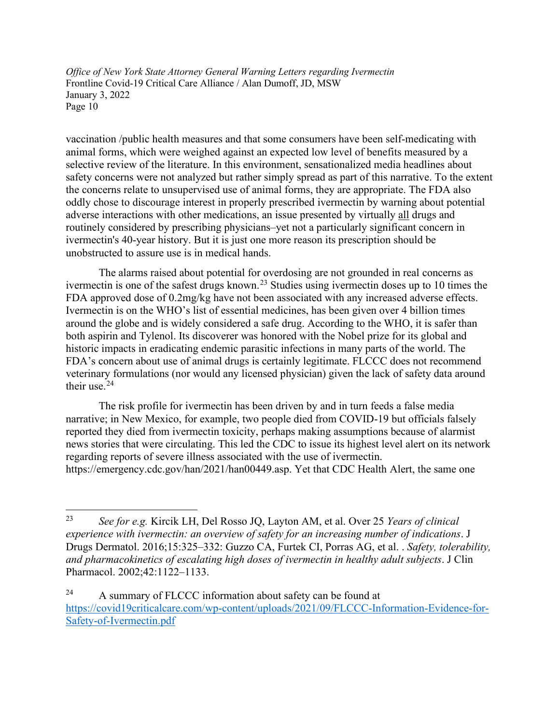vaccination /public health measures and that some consumers have been self-medicating with animal forms, which were weighed against an expected low level of benefits measured by a selective review of the literature. In this environment, sensationalized media headlines about safety concerns were not analyzed but rather simply spread as part of this narrative. To the extent the concerns relate to unsupervised use of animal forms, they are appropriate. The FDA also oddly chose to discourage interest in properly prescribed ivermectin by warning about potential adverse interactions with other medications, an issue presented by virtually all drugs and routinely considered by prescribing physicians–yet not a particularly significant concern in ivermectin's 40-year history. But it is just one more reason its prescription should be unobstructed to assure use is in medical hands.

The alarms raised about potential for overdosing are not grounded in real concerns as ivermectin is one of the safest drugs known.<sup>[23](#page-9-0)</sup> Studies using ivermectin doses up to 10 times the FDA approved dose of 0.2mg/kg have not been associated with any increased adverse effects. Ivermectin is on the WHO's list of essential medicines, has been given over 4 billion times around the globe and is widely considered a safe drug. According to the WHO, it is safer than both aspirin and Tylenol. Its discoverer was honored with the Nobel prize for its global and historic impacts in eradicating endemic parasitic infections in many parts of the world. The FDA's concern about use of animal drugs is certainly legitimate. FLCCC does not recommend veterinary formulations (nor would any licensed physician) given the lack of safety data around their use. $24$ 

The risk profile for ivermectin has been driven by and in turn feeds a false media narrative; in New Mexico, for example, two people died from COVID-19 but officials falsely reported they died from ivermectin toxicity, perhaps making assumptions because of alarmist news stories that were circulating. This led the CDC to issue its highest level alert on its network regarding reports of severe illness associated with the use of ivermectin. https://emergency.cdc.gov/han/2021/han00449.asp. Yet that CDC Health Alert, the same one

<span id="page-9-0"></span><sup>23</sup> *See for e.g.* Kircik LH, Del Rosso JQ, Layton AM, et al. Over 25 *Years of clinical experience with ivermectin: an overview of safety for an increasing number of indications*. J Drugs Dermatol. 2016;15:325–332: Guzzo CA, Furtek CI, Porras AG, et al. . *Safety, tolerability, and pharmacokinetics of escalating high doses of ivermectin in healthy adult subjects*. J Clin Pharmacol. 2002;42:1122–1133.

<span id="page-9-1"></span><sup>&</sup>lt;sup>24</sup> A summary of FLCCC information about safety can be found at [https://covid19criticalcare.com/wp-content/uploads/2021/09/FLCCC-Information-Evidence-for-](https://covid19criticalcare.com/wp-content/uploads/2021/09/FLCCC-Information-Evidence-for-Safety-of-Ivermectin.pdf)[Safety-of-Ivermectin.pdf](https://covid19criticalcare.com/wp-content/uploads/2021/09/FLCCC-Information-Evidence-for-Safety-of-Ivermectin.pdf)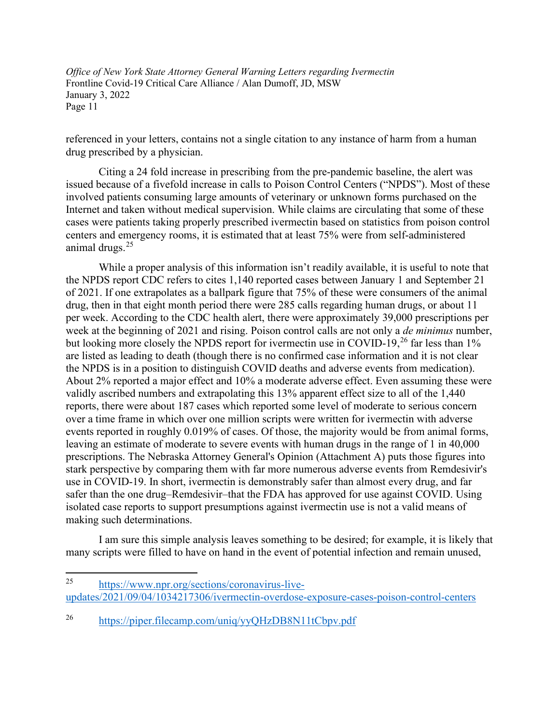referenced in your letters, contains not a single citation to any instance of harm from a human drug prescribed by a physician.

Citing a 24 fold increase in prescribing from the pre-pandemic baseline, the alert was issued because of a fivefold increase in calls to Poison Control Centers ("NPDS"). Most of these involved patients consuming large amounts of veterinary or unknown forms purchased on the Internet and taken without medical supervision. While claims are circulating that some of these cases were patients taking properly prescribed ivermectin based on statistics from poison control centers and emergency rooms, it is estimated that at least 75% were from self-administered animal drugs.[25](#page-10-0)

While a proper analysis of this information isn't readily available, it is useful to note that the NPDS report CDC refers to cites 1,140 reported cases between January 1 and September 21 of 2021. If one extrapolates as a ballpark figure that 75% of these were consumers of the animal drug, then in that eight month period there were 285 calls regarding human drugs, or about 11 per week. According to the CDC health alert, there were approximately 39,000 prescriptions per week at the beginning of 2021 and rising. Poison control calls are not only a *de minimus* number, but looking more closely the NPDS report for ivermectin use in COVID-19,<sup>[26](#page-10-1)</sup> far less than 1% are listed as leading to death (though there is no confirmed case information and it is not clear the NPDS is in a position to distinguish COVID deaths and adverse events from medication). About 2% reported a major effect and 10% a moderate adverse effect. Even assuming these were validly ascribed numbers and extrapolating this 13% apparent effect size to all of the 1,440 reports, there were about 187 cases which reported some level of moderate to serious concern over a time frame in which over one million scripts were written for ivermectin with adverse events reported in roughly 0.019% of cases. Of those, the majority would be from animal forms, leaving an estimate of moderate to severe events with human drugs in the range of 1 in 40,000 prescriptions. The Nebraska Attorney General's Opinion (Attachment A) puts those figures into stark perspective by comparing them with far more numerous adverse events from Remdesivir's use in COVID-19. In short, ivermectin is demonstrably safer than almost every drug, and far safer than the one drug–Remdesivir–that the FDA has approved for use against COVID. Using isolated case reports to support presumptions against ivermectin use is not a valid means of making such determinations.

I am sure this simple analysis leaves something to be desired; for example, it is likely that many scripts were filled to have on hand in the event of potential infection and remain unused,

<span id="page-10-0"></span><sup>25</sup> [https://www.npr.org/sections/coronavirus-live](https://www.npr.org/sections/coronavirus-live-updates/2021/09/04/1034217306/ivermectin-overdose-exposure-cases-poison-control-centers)[updates/2021/09/04/1034217306/ivermectin-overdose-exposure-cases-poison-control-centers](https://www.npr.org/sections/coronavirus-live-updates/2021/09/04/1034217306/ivermectin-overdose-exposure-cases-poison-control-centers)

<span id="page-10-1"></span><sup>26</sup> <https://piper.filecamp.com/uniq/yyQHzDB8N11tCbpv.pdf>